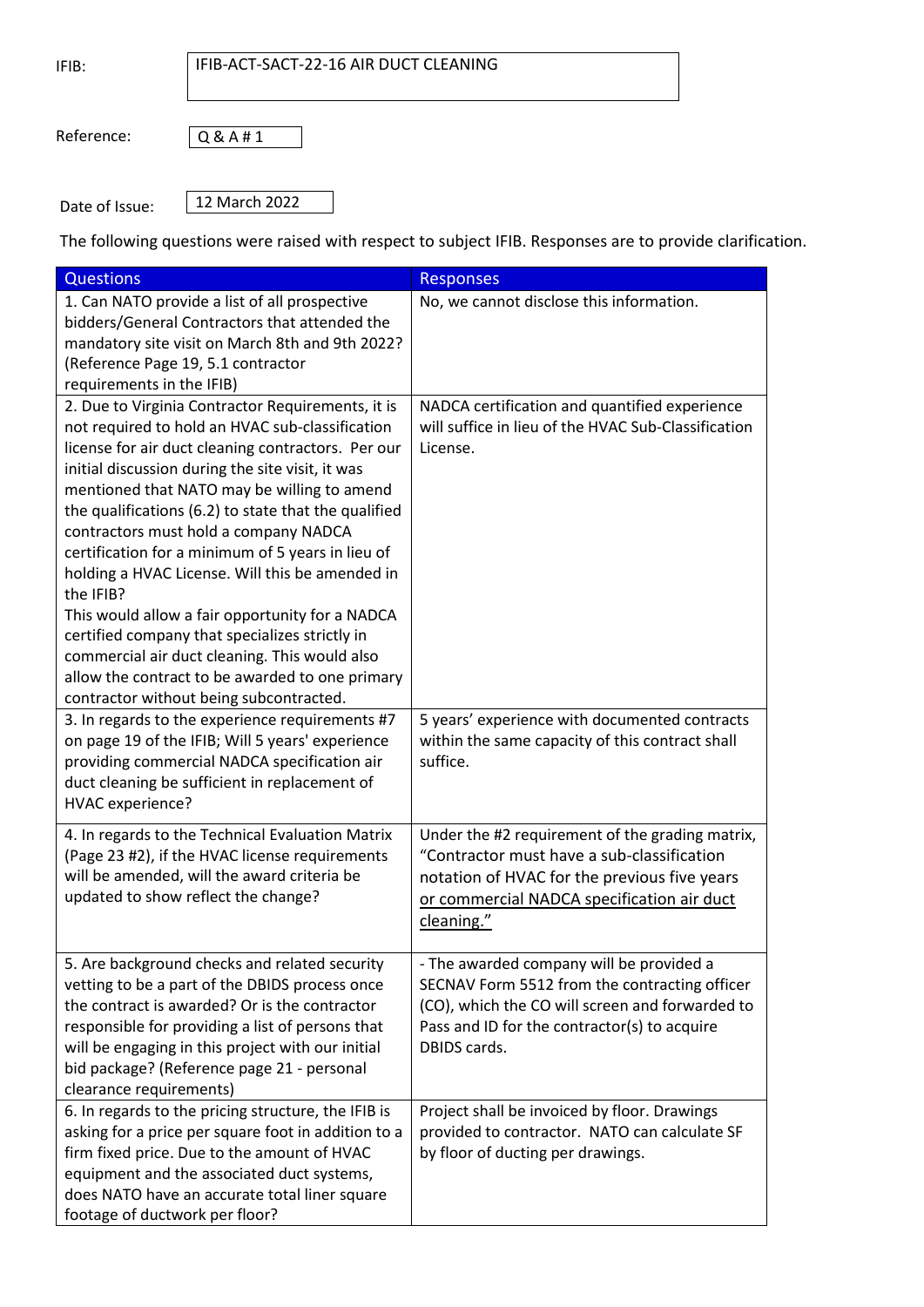IFIB:

## IFIB-ACT-SACT-22-16 AIR DUCT CLEANING

Reference:

Q & A # 1

Date of Issue:

12 March 2022

The following questions were raised with respect to subject IFIB. Responses are to provide clarification.

| <b>Questions</b>                                                                                                                                                                                                                                                                                                                                                                                                                                                                                                                                                                                                                                                                                                                        | <b>Responses</b>                                                                                                                                                                                             |
|-----------------------------------------------------------------------------------------------------------------------------------------------------------------------------------------------------------------------------------------------------------------------------------------------------------------------------------------------------------------------------------------------------------------------------------------------------------------------------------------------------------------------------------------------------------------------------------------------------------------------------------------------------------------------------------------------------------------------------------------|--------------------------------------------------------------------------------------------------------------------------------------------------------------------------------------------------------------|
| 1. Can NATO provide a list of all prospective<br>bidders/General Contractors that attended the<br>mandatory site visit on March 8th and 9th 2022?<br>(Reference Page 19, 5.1 contractor<br>requirements in the IFIB)                                                                                                                                                                                                                                                                                                                                                                                                                                                                                                                    | No, we cannot disclose this information.                                                                                                                                                                     |
| 2. Due to Virginia Contractor Requirements, it is<br>not required to hold an HVAC sub-classification<br>license for air duct cleaning contractors. Per our<br>initial discussion during the site visit, it was<br>mentioned that NATO may be willing to amend<br>the qualifications (6.2) to state that the qualified<br>contractors must hold a company NADCA<br>certification for a minimum of 5 years in lieu of<br>holding a HVAC License. Will this be amended in<br>the IFIB?<br>This would allow a fair opportunity for a NADCA<br>certified company that specializes strictly in<br>commercial air duct cleaning. This would also<br>allow the contract to be awarded to one primary<br>contractor without being subcontracted. | NADCA certification and quantified experience<br>will suffice in lieu of the HVAC Sub-Classification<br>License.                                                                                             |
| 3. In regards to the experience requirements #7<br>on page 19 of the IFIB; Will 5 years' experience<br>providing commercial NADCA specification air<br>duct cleaning be sufficient in replacement of<br>HVAC experience?                                                                                                                                                                                                                                                                                                                                                                                                                                                                                                                | 5 years' experience with documented contracts<br>within the same capacity of this contract shall<br>suffice.                                                                                                 |
| 4. In regards to the Technical Evaluation Matrix<br>(Page 23 #2), if the HVAC license requirements<br>will be amended, will the award criteria be<br>updated to show reflect the change?                                                                                                                                                                                                                                                                                                                                                                                                                                                                                                                                                | Under the #2 requirement of the grading matrix,<br>"Contractor must have a sub-classification<br>notation of HVAC for the previous five years<br>or commercial NADCA specification air duct<br>cleaning."    |
| 5. Are background checks and related security<br>vetting to be a part of the DBIDS process once<br>the contract is awarded? Or is the contractor<br>responsible for providing a list of persons that<br>will be engaging in this project with our initial<br>bid package? (Reference page 21 - personal<br>clearance requirements)                                                                                                                                                                                                                                                                                                                                                                                                      | - The awarded company will be provided a<br>SECNAV Form 5512 from the contracting officer<br>(CO), which the CO will screen and forwarded to<br>Pass and ID for the contractor(s) to acquire<br>DBIDS cards. |
| 6. In regards to the pricing structure, the IFIB is<br>asking for a price per square foot in addition to a<br>firm fixed price. Due to the amount of HVAC<br>equipment and the associated duct systems,<br>does NATO have an accurate total liner square<br>footage of ductwork per floor?                                                                                                                                                                                                                                                                                                                                                                                                                                              | Project shall be invoiced by floor. Drawings<br>provided to contractor. NATO can calculate SF<br>by floor of ducting per drawings.                                                                           |